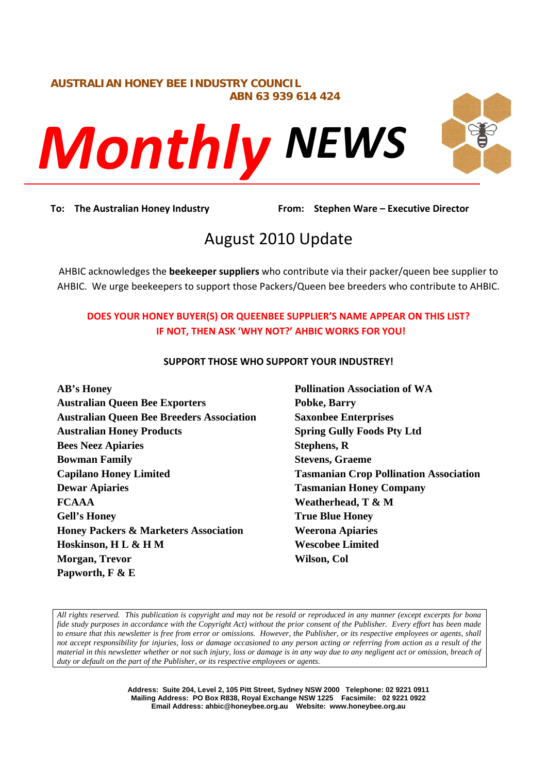# **AUSTRALIAN HONEY BEE INDUSTRY COUNCIL ABN 63 939 614 424**



**To: The Australian Honey Industry From: Stephen Ware – Executive Director**

# August 2010 Update

AHBIC acknowledges the **beekeeper suppliers** who contribute via their packer/queen bee supplier to AHBIC. We urge beekeepers to support those Packers/Queen bee breeders who contribute to AHBIC.

# **DOES YOUR HONEY BUYER(S) OR QUEENBEE SUPPLIER'S NAME APPEAR ON THIS LIST? IF NOT, THEN ASK 'WHY NOT?' AHBIC WORKS FOR YOU!**

# **SUPPORT THOSE WHO SUPPORT YOUR INDUSTREY!**

**AB's Honey Australian Queen Bee Exporters Australian Queen Bee Breeders Association Australian Honey Products Bees Neez Apiaries Bowman Family Capilano Honey Limited Dewar Apiaries FCAAA Gell's Honey Honey Packers & Marketers Association Hoskinson, H L & H M Morgan, Trevor Papworth, F & E** 

**Pollination Association of WA Pobke, Barry Saxonbee Enterprises Spring Gully Foods Pty Ltd Stephens, R Stevens, Graeme Tasmanian Crop Pollination Association Tasmanian Honey Company Weatherhead, T & M True Blue Honey Weerona Apiaries Wescobee Limited Wilson, Col** 

*All rights reserved. This publication is copyright and may not be resold or reproduced in any manner (except excerpts for bona fide study purposes in accordance with the Copyright Act) without the prior consent of the Publisher. Every effort has been made to ensure that this newsletter is free from error or omissions. However, the Publisher, or its respective employees or agents, shall not accept responsibility for injuries, loss or damage occasioned to any person acting or referring from action as a result of the material in this newsletter whether or not such injury, loss or damage is in any way due to any negligent act or omission, breach of duty or default on the part of the Publisher, or its respective employees or agents.* 

> **Address: Suite 204, Level 2, 105 Pitt Street, Sydney NSW 2000 Telephone: 02 9221 0911 Mailing Address: PO Box R838, Royal Exchange NSW 1225 Facsimile: 02 9221 0922 Email Address: ahbic@honeybee.org.au Website: www.honeybee.org.au**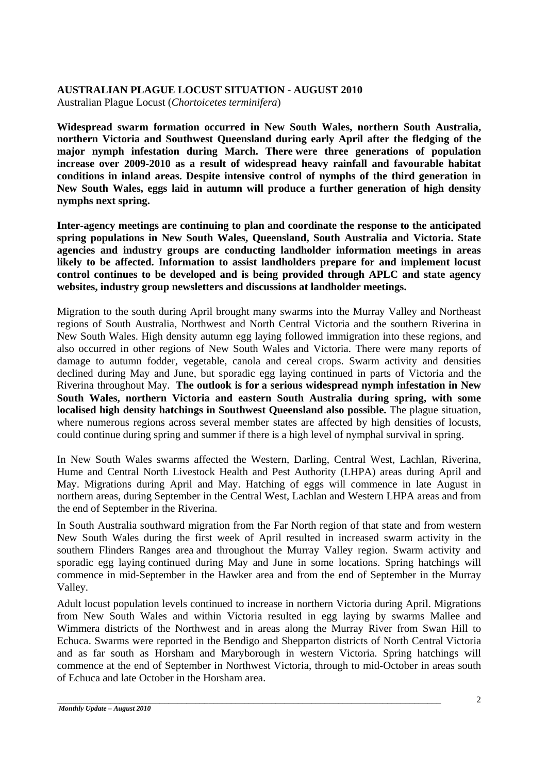# **AUSTRALIAN PLAGUE LOCUST SITUATION - AUGUST 2010**

Australian Plague Locust (*Chortoicetes terminifera*)

**Widespread swarm formation occurred in New South Wales, northern South Australia, northern Victoria and Southwest Queensland during early April after the fledging of the major nymph infestation during March. There were three generations of population increase over 2009-2010 as a result of widespread heavy rainfall and favourable habitat conditions in inland areas. Despite intensive control of nymphs of the third generation in New South Wales, eggs laid in autumn will produce a further generation of high density nymphs next spring.** 

**Inter-agency meetings are continuing to plan and coordinate the response to the anticipated spring populations in New South Wales, Queensland, South Australia and Victoria. State agencies and industry groups are conducting landholder information meetings in areas likely to be affected. Information to assist landholders prepare for and implement locust control continues to be developed and is being provided through APLC and state agency websites, industry group newsletters and discussions at landholder meetings.** 

Migration to the south during April brought many swarms into the Murray Valley and Northeast regions of South Australia, Northwest and North Central Victoria and the southern Riverina in New South Wales. High density autumn egg laying followed immigration into these regions, and also occurred in other regions of New South Wales and Victoria. There were many reports of damage to autumn fodder, vegetable, canola and cereal crops. Swarm activity and densities declined during May and June, but sporadic egg laying continued in parts of Victoria and the Riverina throughout May. **The outlook is for a serious widespread nymph infestation in New South Wales, northern Victoria and eastern South Australia during spring, with some localised high density hatchings in Southwest Queensland also possible.** The plague situation, where numerous regions across several member states are affected by high densities of locusts, could continue during spring and summer if there is a high level of nymphal survival in spring.

In New South Wales swarms affected the Western, Darling, Central West, Lachlan, Riverina, Hume and Central North Livestock Health and Pest Authority (LHPA) areas during April and May. Migrations during April and May. Hatching of eggs will commence in late August in northern areas, during September in the Central West, Lachlan and Western LHPA areas and from the end of September in the Riverina.

In South Australia southward migration from the Far North region of that state and from western New South Wales during the first week of April resulted in increased swarm activity in the southern Flinders Ranges area and throughout the Murray Valley region. Swarm activity and sporadic egg laying continued during May and June in some locations. Spring hatchings will commence in mid-September in the Hawker area and from the end of September in the Murray Valley.

Adult locust population levels continued to increase in northern Victoria during April. Migrations from New South Wales and within Victoria resulted in egg laying by swarms Mallee and Wimmera districts of the Northwest and in areas along the Murray River from Swan Hill to Echuca. Swarms were reported in the Bendigo and Shepparton districts of North Central Victoria and as far south as Horsham and Maryborough in western Victoria. Spring hatchings will commence at the end of September in Northwest Victoria, through to mid-October in areas south of Echuca and late October in the Horsham area.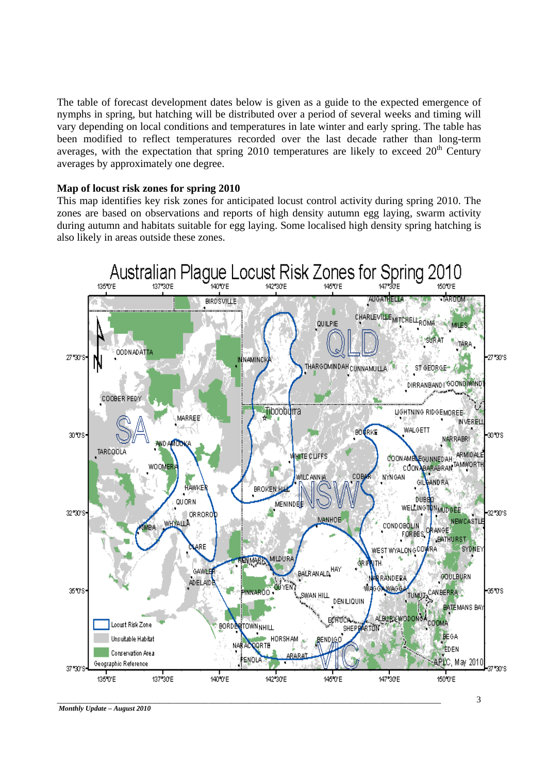The table of forecast development dates below is given as a guide to the expected emergence of nymphs in spring, but hatching will be distributed over a period of several weeks and timing will vary depending on local conditions and temperatures in late winter and early spring. The table has been modified to reflect temperatures recorded over the last decade rather than long-term averages, with the expectation that spring 2010 temperatures are likely to exceed  $20<sup>th</sup>$  Century averages by approximately one degree.

#### **Map of locust risk zones for spring 2010**

This map identifies key risk zones for anticipated locust control activity during spring 2010. The zones are based on observations and reports of high density autumn egg laying, swarm activity during autumn and habitats suitable for egg laying. Some localised high density spring hatching is also likely in areas outside these zones.

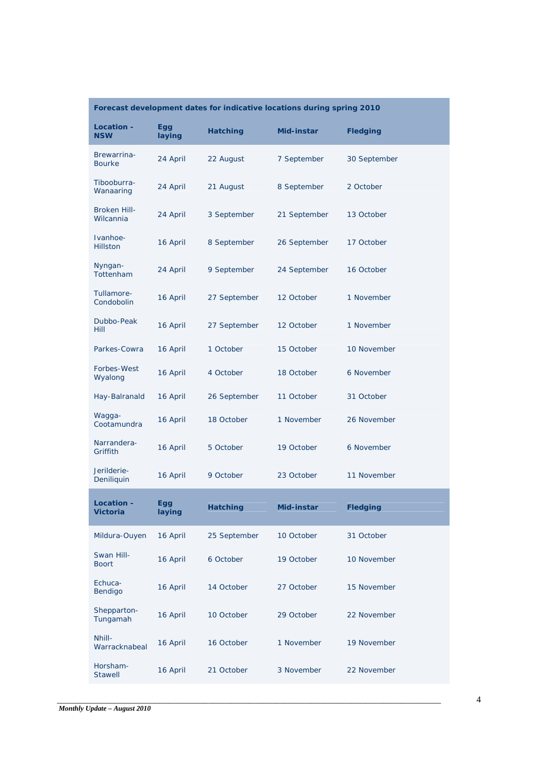| Forecast development dates for indicative locations during spring 2010 |               |                 |              |                 |  |  |
|------------------------------------------------------------------------|---------------|-----------------|--------------|-----------------|--|--|
| Location -<br><b>NSW</b>                                               | Egg<br>laying | <b>Hatching</b> | Mid-instar   | <b>Fledging</b> |  |  |
| Brewarrina-<br><b>Bourke</b>                                           | 24 April      | 22 August       | 7 September  | 30 September    |  |  |
| Tibooburra-<br>Wanaaring                                               | 24 April      | 21 August       | 8 September  | 2 October       |  |  |
| <b>Broken Hill-</b><br>Wilcannia                                       | 24 April      | 3 September     | 21 September | 13 October      |  |  |
| Ivanhoe-<br><b>Hillston</b>                                            | 16 April      | 8 September     | 26 September | 17 October      |  |  |
| Nyngan-<br>Tottenham                                                   | 24 April      | 9 September     | 24 September | 16 October      |  |  |
| Tullamore-<br>Condobolin                                               | 16 April      | 27 September    | 12 October   | 1 November      |  |  |
| Dubbo-Peak<br><b>Hill</b>                                              | 16 April      | 27 September    | 12 October   | 1 November      |  |  |
| Parkes-Cowra                                                           | 16 April      | 1 October       | 15 October   | 10 November     |  |  |
| Forbes-West<br>Wyalong                                                 | 16 April      | 4 October       | 18 October   | 6 November      |  |  |
| Hay-Balranald                                                          | 16 April      | 26 September    | 11 October   | 31 October      |  |  |
| Waqqa-<br>Cootamundra                                                  | 16 April      | 18 October      | 1 November   | 26 November     |  |  |
| Narrandera-<br>Griffith                                                | 16 April      | 5 October       | 19 October   | 6 November      |  |  |
| Jerilderie-<br>Deniliquin                                              | 16 April      | 9 October       | 23 October   | 11 November     |  |  |
| <b>Location -</b><br>Victoria                                          | Egg<br>laying | <b>Hatching</b> | Mid-instar   | <b>Fledging</b> |  |  |
| Mildura-Ouyen                                                          | 16 April      | 25 September    | 10 October   | 31 October      |  |  |
| Swan Hill-<br><b>Boort</b>                                             | 16 April      | 6 October       | 19 October   | 10 November     |  |  |
| Echuca-<br>Bendigo                                                     | 16 April      | 14 October      | 27 October   | 15 November     |  |  |
| Shepparton-<br>Tungamah                                                | 16 April      | 10 October      | 29 October   | 22 November     |  |  |
| Nhill-<br>Warracknabeal                                                | 16 April      | 16 October      | 1 November   | 19 November     |  |  |
| Horsham-<br><b>Stawell</b>                                             | 16 April      | 21 October      | 3 November   | 22 November     |  |  |

**College**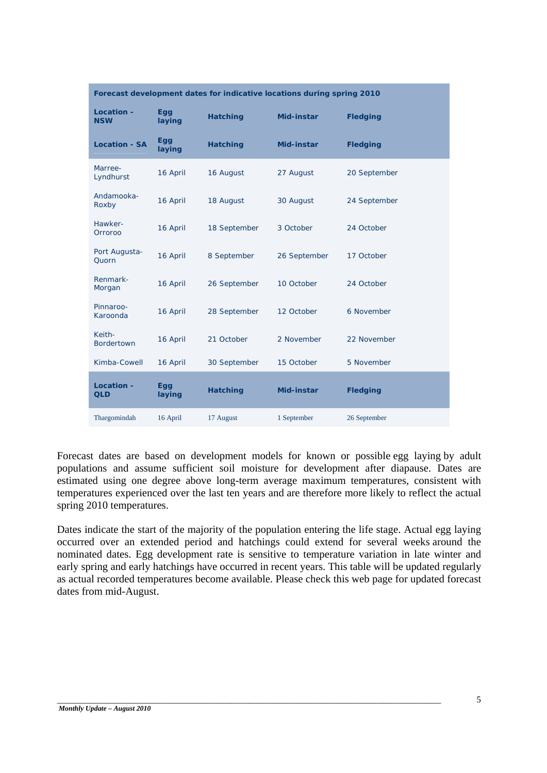| Forecast development dates for indicative locations during spring 2010 |                      |                 |              |                 |  |  |  |
|------------------------------------------------------------------------|----------------------|-----------------|--------------|-----------------|--|--|--|
| <b>Location -</b><br><b>NSW</b>                                        | <b>Egg</b><br>laying | <b>Hatching</b> | Mid-instar   | <b>Fledging</b> |  |  |  |
| <b>Location - SA</b>                                                   | Egg<br>laying        | <b>Hatching</b> | Mid-instar   | <b>Fledging</b> |  |  |  |
| Marree-<br>Lyndhurst                                                   | 16 April             | 16 August       | 27 August    | 20 September    |  |  |  |
| Andamooka-<br>Roxby                                                    | 16 April             | 18 August       | 30 August    | 24 September    |  |  |  |
| Hawker-<br>Orroroo                                                     | 16 April             | 18 September    | 3 October    | 24 October      |  |  |  |
| Port Augusta-<br>Quorn                                                 | 16 April             | 8 September     | 26 September | 17 October      |  |  |  |
| Renmark-<br>Morgan                                                     | 16 April             | 26 September    | 10 October   | 24 October      |  |  |  |
| Pinnaroo-<br>Karoonda                                                  | 16 April             | 28 September    | 12 October   | 6 November      |  |  |  |
| Keith-<br><b>Bordertown</b>                                            | 16 April             | 21 October      | 2 November   | 22 November     |  |  |  |
| Kimba-Cowell                                                           | 16 April             | 30 September    | 15 October   | 5 November      |  |  |  |
| <b>Location -</b><br><b>QLD</b>                                        | Egg<br>laying        | <b>Hatching</b> | Mid-instar   | <b>Fledging</b> |  |  |  |
| Thargomindah                                                           | 16 April             | 17 August       | 1 September  | 26 September    |  |  |  |

Forecast dates are based on development models for known or possible egg laying by adult populations and assume sufficient soil moisture for development after diapause. Dates are estimated using one degree above long-term average maximum temperatures, consistent with temperatures experienced over the last ten years and are therefore more likely to reflect the actual spring 2010 temperatures.

Dates indicate the start of the majority of the population entering the life stage. Actual egg laying occurred over an extended period and hatchings could extend for several weeks around the nominated dates. Egg development rate is sensitive to temperature variation in late winter and early spring and early hatchings have occurred in recent years. This table will be updated regularly as actual recorded temperatures become available. Please check this web page for updated forecast dates from mid-August.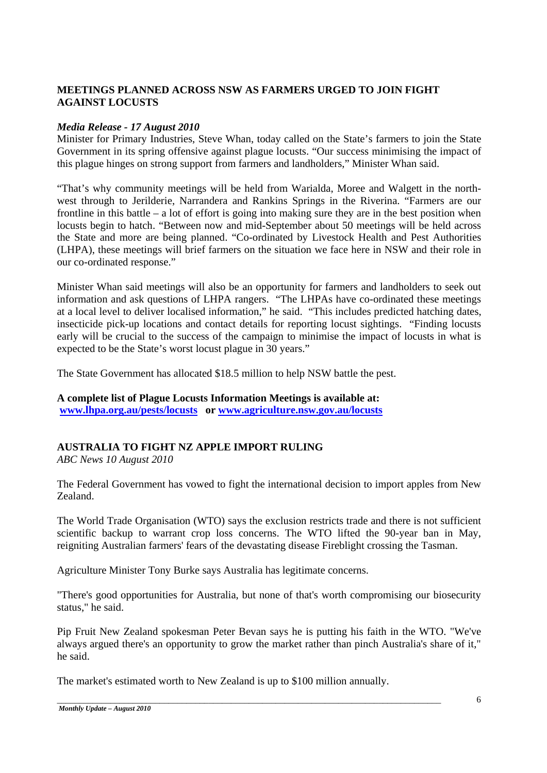# **MEETINGS PLANNED ACROSS NSW AS FARMERS URGED TO JOIN FIGHT AGAINST LOCUSTS**

### *Media Release - 17 August 2010*

Minister for Primary Industries, Steve Whan, today called on the State's farmers to join the State Government in its spring offensive against plague locusts. "Our success minimising the impact of this plague hinges on strong support from farmers and landholders," Minister Whan said.

"That's why community meetings will be held from Warialda, Moree and Walgett in the northwest through to Jerilderie, Narrandera and Rankins Springs in the Riverina. "Farmers are our frontline in this battle – a lot of effort is going into making sure they are in the best position when locusts begin to hatch. "Between now and mid-September about 50 meetings will be held across the State and more are being planned. "Co-ordinated by Livestock Health and Pest Authorities (LHPA), these meetings will brief farmers on the situation we face here in NSW and their role in our co-ordinated response."

Minister Whan said meetings will also be an opportunity for farmers and landholders to seek out information and ask questions of LHPA rangers. "The LHPAs have co-ordinated these meetings at a local level to deliver localised information," he said. "This includes predicted hatching dates, insecticide pick-up locations and contact details for reporting locust sightings. "Finding locusts early will be crucial to the success of the campaign to minimise the impact of locusts in what is expected to be the State's worst locust plague in 30 years."

The State Government has allocated \$18.5 million to help NSW battle the pest.

#### **A complete list of Plague Locusts Information Meetings is available at: www.lhpa.org.au/pests/locusts or www.agriculture.nsw.gov.au/locusts**

# **AUSTRALIA TO FIGHT NZ APPLE IMPORT RULING**

*ABC News 10 August 2010* 

The Federal Government has vowed to fight the international decision to import apples from New Zealand.

The World Trade Organisation (WTO) says the exclusion restricts trade and there is not sufficient scientific backup to warrant crop loss concerns. The WTO lifted the 90-year ban in May, reigniting Australian farmers' fears of the devastating disease Fireblight crossing the Tasman.

Agriculture Minister Tony Burke says Australia has legitimate concerns.

"There's good opportunities for Australia, but none of that's worth compromising our biosecurity status," he said.

Pip Fruit New Zealand spokesman Peter Bevan says he is putting his faith in the WTO. "We've always argued there's an opportunity to grow the market rather than pinch Australia's share of it," he said.

The market's estimated worth to New Zealand is up to \$100 million annually.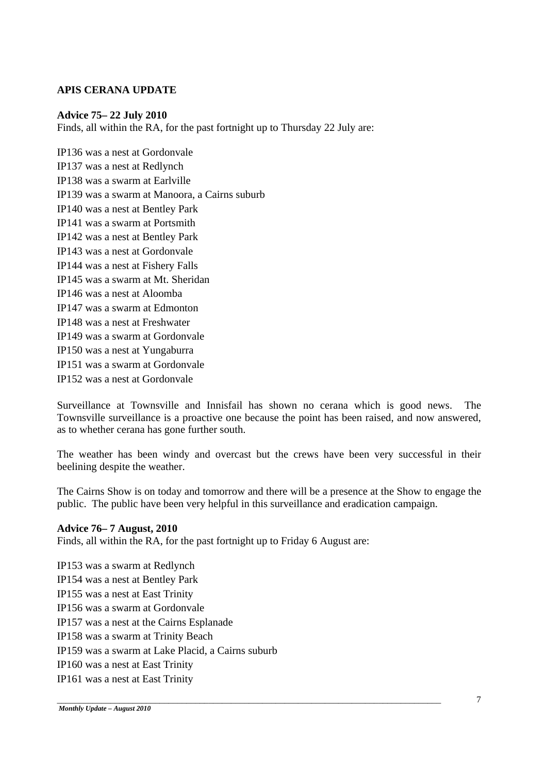### **APIS CERANA UPDATE**

#### **Advice 75– 22 July 2010**

Finds, all within the RA, for the past fortnight up to Thursday 22 July are:

IP136 was a nest at Gordonvale IP137 was a nest at Redlynch IP138 was a swarm at Earlville IP139 was a swarm at Manoora, a Cairns suburb IP140 was a nest at Bentley Park IP141 was a swarm at Portsmith IP142 was a nest at Bentley Park IP143 was a nest at Gordonvale IP144 was a nest at Fishery Falls IP145 was a swarm at Mt. Sheridan IP146 was a nest at Aloomba IP147 was a swarm at Edmonton IP148 was a nest at Freshwater IP149 was a swarm at Gordonvale IP150 was a nest at Yungaburra IP151 was a swarm at Gordonvale IP152 was a nest at Gordonvale

Surveillance at Townsville and Innisfail has shown no cerana which is good news. The Townsville surveillance is a proactive one because the point has been raised, and now answered, as to whether cerana has gone further south.

The weather has been windy and overcast but the crews have been very successful in their beelining despite the weather.

The Cairns Show is on today and tomorrow and there will be a presence at the Show to engage the public. The public have been very helpful in this surveillance and eradication campaign.

\_\_\_\_\_\_\_\_\_\_\_\_\_\_\_\_\_\_\_\_\_\_\_\_\_\_\_\_\_\_\_\_\_\_\_\_\_\_\_\_\_\_\_\_\_\_\_\_\_\_\_\_\_\_\_\_\_\_\_\_\_\_\_\_\_\_\_\_\_\_\_\_\_\_\_\_\_\_\_\_\_\_\_\_\_\_

#### **Advice 76– 7 August, 2010**

Finds, all within the RA, for the past fortnight up to Friday 6 August are:

IP153 was a swarm at Redlynch IP154 was a nest at Bentley Park IP155 was a nest at East Trinity IP156 was a swarm at Gordonvale IP157 was a nest at the Cairns Esplanade IP158 was a swarm at Trinity Beach IP159 was a swarm at Lake Placid, a Cairns suburb IP160 was a nest at East Trinity IP161 was a nest at East Trinity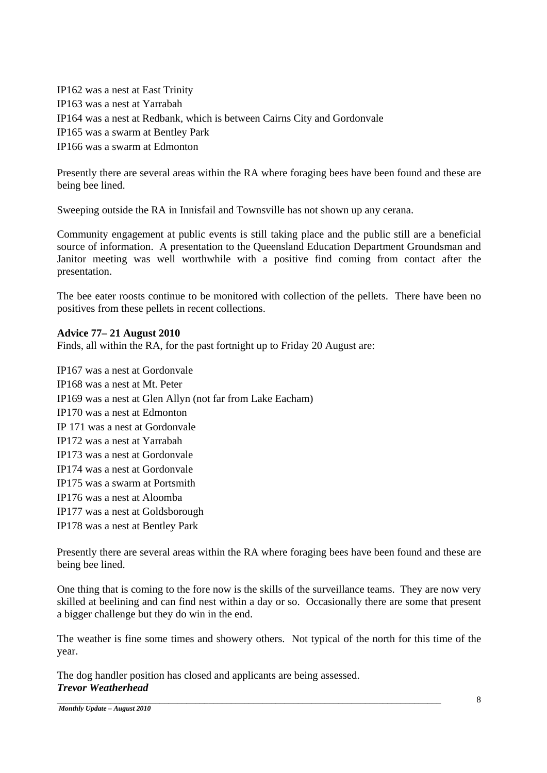IP162 was a nest at East Trinity IP163 was a nest at Yarrabah IP164 was a nest at Redbank, which is between Cairns City and Gordonvale IP165 was a swarm at Bentley Park IP166 was a swarm at Edmonton

Presently there are several areas within the RA where foraging bees have been found and these are being bee lined.

Sweeping outside the RA in Innisfail and Townsville has not shown up any cerana.

Community engagement at public events is still taking place and the public still are a beneficial source of information. A presentation to the Queensland Education Department Groundsman and Janitor meeting was well worthwhile with a positive find coming from contact after the presentation.

The bee eater roosts continue to be monitored with collection of the pellets. There have been no positives from these pellets in recent collections.

### **Advice 77– 21 August 2010**

Finds, all within the RA, for the past fortnight up to Friday 20 August are:

IP167 was a nest at Gordonvale IP168 was a nest at Mt. Peter IP169 was a nest at Glen Allyn (not far from Lake Eacham) IP170 was a nest at Edmonton IP 171 was a nest at Gordonvale IP172 was a nest at Yarrabah IP173 was a nest at Gordonvale IP174 was a nest at Gordonvale IP175 was a swarm at Portsmith IP176 was a nest at Aloomba IP177 was a nest at Goldsborough IP178 was a nest at Bentley Park

Presently there are several areas within the RA where foraging bees have been found and these are being bee lined.

One thing that is coming to the fore now is the skills of the surveillance teams. They are now very skilled at beelining and can find nest within a day or so. Occasionally there are some that present a bigger challenge but they do win in the end.

The weather is fine some times and showery others. Not typical of the north for this time of the year.

The dog handler position has closed and applicants are being assessed. *Trevor Weatherhead*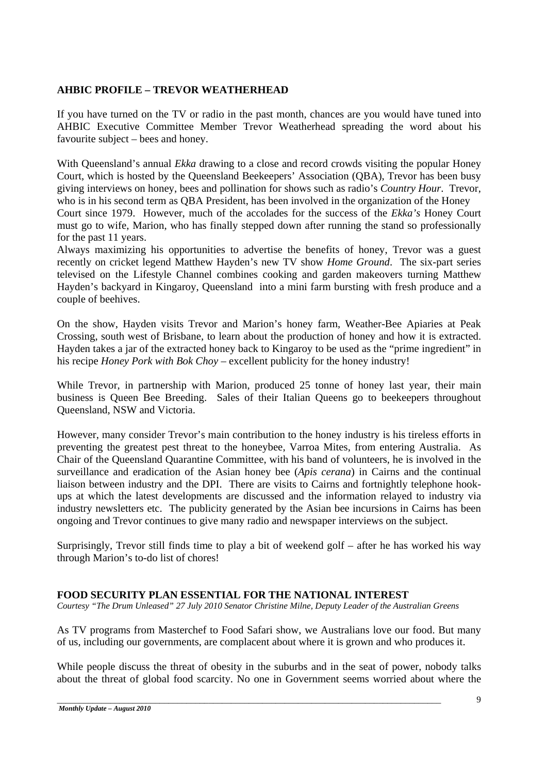# **AHBIC PROFILE – TREVOR WEATHERHEAD**

If you have turned on the TV or radio in the past month, chances are you would have tuned into AHBIC Executive Committee Member Trevor Weatherhead spreading the word about his favourite subject – bees and honey.

With Queensland's annual *Ekka* drawing to a close and record crowds visiting the popular Honey Court, which is hosted by the Queensland Beekeepers' Association (QBA), Trevor has been busy giving interviews on honey, bees and pollination for shows such as radio's *Country Hour*. Trevor, who is in his second term as QBA President, has been involved in the organization of the Honey Court since 1979. However, much of the accolades for the success of the *Ekka's* Honey Court must go to wife, Marion, who has finally stepped down after running the stand so professionally for the past 11 years.

Always maximizing his opportunities to advertise the benefits of honey, Trevor was a guest recently on cricket legend Matthew Hayden's new TV show *Home Ground*. The six-part series televised on the Lifestyle Channel combines cooking and garden makeovers turning Matthew Hayden's backyard in Kingaroy, Queensland into a mini farm bursting with fresh produce and a couple of beehives.

On the show, Hayden visits Trevor and Marion's honey farm, Weather-Bee Apiaries at Peak Crossing, south west of Brisbane, to learn about the production of honey and how it is extracted. Hayden takes a jar of the extracted honey back to Kingaroy to be used as the "prime ingredient" in his recipe *Honey Pork with Bok Choy* – excellent publicity for the honey industry!

While Trevor, in partnership with Marion, produced 25 tonne of honey last year, their main business is Queen Bee Breeding. Sales of their Italian Queens go to beekeepers throughout Queensland, NSW and Victoria.

However, many consider Trevor's main contribution to the honey industry is his tireless efforts in preventing the greatest pest threat to the honeybee, Varroa Mites, from entering Australia. As Chair of the Queensland Quarantine Committee, with his band of volunteers, he is involved in the surveillance and eradication of the Asian honey bee (*Apis cerana*) in Cairns and the continual liaison between industry and the DPI. There are visits to Cairns and fortnightly telephone hookups at which the latest developments are discussed and the information relayed to industry via industry newsletters etc. The publicity generated by the Asian bee incursions in Cairns has been ongoing and Trevor continues to give many radio and newspaper interviews on the subject.

Surprisingly, Trevor still finds time to play a bit of weekend golf – after he has worked his way through Marion's to-do list of chores!

#### **FOOD SECURITY PLAN ESSENTIAL FOR THE NATIONAL INTEREST**

*Courtesy "The Drum Unleased" 27 July 2010 Senator Christine Milne, Deputy Leader of the Australian Greens* 

As TV programs from Masterchef to Food Safari show, we Australians love our food. But many of us, including our governments, are complacent about where it is grown and who produces it.

While people discuss the threat of obesity in the suburbs and in the seat of power, nobody talks about the threat of global food scarcity. No one in Government seems worried about where the

\_\_\_\_\_\_\_\_\_\_\_\_\_\_\_\_\_\_\_\_\_\_\_\_\_\_\_\_\_\_\_\_\_\_\_\_\_\_\_\_\_\_\_\_\_\_\_\_\_\_\_\_\_\_\_\_\_\_\_\_\_\_\_\_\_\_\_\_\_\_\_\_\_\_\_\_\_\_\_\_\_\_\_\_\_\_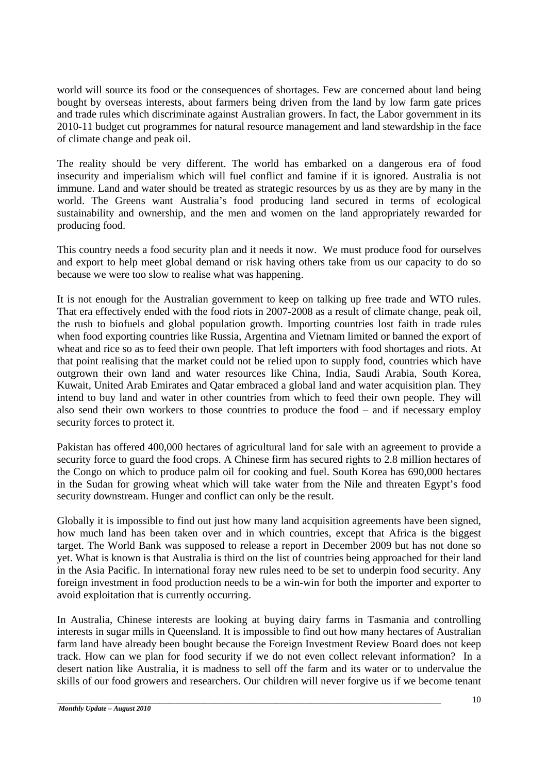world will source its food or the consequences of shortages. Few are concerned about land being bought by overseas interests, about farmers being driven from the land by low farm gate prices and trade rules which discriminate against Australian growers. In fact, the Labor government in its 2010-11 budget cut programmes for natural resource management and land stewardship in the face of climate change and peak oil.

The reality should be very different. The world has embarked on a dangerous era of food insecurity and imperialism which will fuel conflict and famine if it is ignored. Australia is not immune. Land and water should be treated as strategic resources by us as they are by many in the world. The Greens want Australia's food producing land secured in terms of ecological sustainability and ownership, and the men and women on the land appropriately rewarded for producing food.

This country needs a food security plan and it needs it now. We must produce food for ourselves and export to help meet global demand or risk having others take from us our capacity to do so because we were too slow to realise what was happening.

It is not enough for the Australian government to keep on talking up free trade and WTO rules. That era effectively ended with the food riots in 2007-2008 as a result of climate change, peak oil, the rush to biofuels and global population growth. Importing countries lost faith in trade rules when food exporting countries like Russia, Argentina and Vietnam limited or banned the export of wheat and rice so as to feed their own people. That left importers with food shortages and riots. At that point realising that the market could not be relied upon to supply food, countries which have outgrown their own land and water resources like China, India, Saudi Arabia, South Korea, Kuwait, United Arab Emirates and Qatar embraced a global land and water acquisition plan. They intend to buy land and water in other countries from which to feed their own people. They will also send their own workers to those countries to produce the food – and if necessary employ security forces to protect it.

Pakistan has offered 400,000 hectares of agricultural land for sale with an agreement to provide a security force to guard the food crops. A Chinese firm has secured rights to 2.8 million hectares of the Congo on which to produce palm oil for cooking and fuel. South Korea has 690,000 hectares in the Sudan for growing wheat which will take water from the Nile and threaten Egypt's food security downstream. Hunger and conflict can only be the result.

Globally it is impossible to find out just how many land acquisition agreements have been signed, how much land has been taken over and in which countries, except that Africa is the biggest target. The World Bank was supposed to release a report in December 2009 but has not done so yet. What is known is that Australia is third on the list of countries being approached for their land in the Asia Pacific. In international foray new rules need to be set to underpin food security. Any foreign investment in food production needs to be a win-win for both the importer and exporter to avoid exploitation that is currently occurring.

In Australia, Chinese interests are looking at buying dairy farms in Tasmania and controlling interests in sugar mills in Queensland. It is impossible to find out how many hectares of Australian farm land have already been bought because the Foreign Investment Review Board does not keep track. How can we plan for food security if we do not even collect relevant information? In a desert nation like Australia, it is madness to sell off the farm and its water or to undervalue the skills of our food growers and researchers. Our children will never forgive us if we become tenant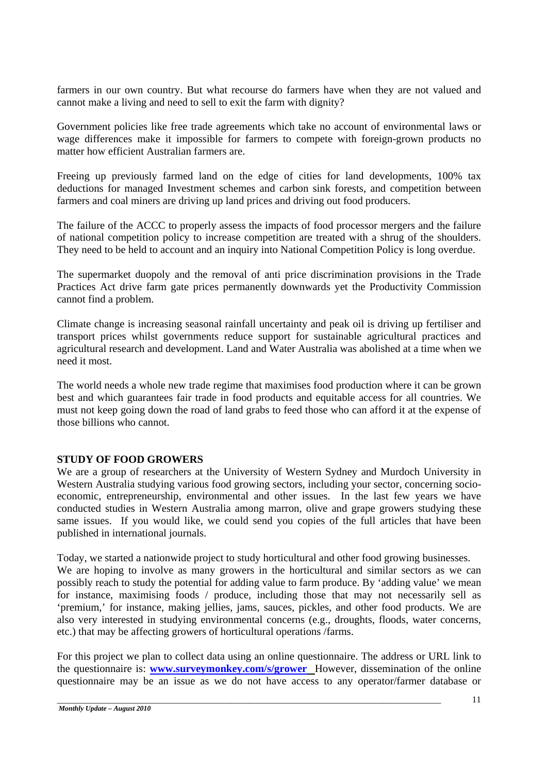farmers in our own country. But what recourse do farmers have when they are not valued and cannot make a living and need to sell to exit the farm with dignity?

Government policies like free trade agreements which take no account of environmental laws or wage differences make it impossible for farmers to compete with foreign-grown products no matter how efficient Australian farmers are.

Freeing up previously farmed land on the edge of cities for land developments, 100% tax deductions for managed Investment schemes and carbon sink forests, and competition between farmers and coal miners are driving up land prices and driving out food producers.

The failure of the ACCC to properly assess the impacts of food processor mergers and the failure of national competition policy to increase competition are treated with a shrug of the shoulders. They need to be held to account and an inquiry into National Competition Policy is long overdue.

The supermarket duopoly and the removal of anti price discrimination provisions in the Trade Practices Act drive farm gate prices permanently downwards yet the Productivity Commission cannot find a problem.

Climate change is increasing seasonal rainfall uncertainty and peak oil is driving up fertiliser and transport prices whilst governments reduce support for sustainable agricultural practices and agricultural research and development. Land and Water Australia was abolished at a time when we need it most.

The world needs a whole new trade regime that maximises food production where it can be grown best and which guarantees fair trade in food products and equitable access for all countries. We must not keep going down the road of land grabs to feed those who can afford it at the expense of those billions who cannot.

#### **STUDY OF FOOD GROWERS**

We are a group of researchers at the University of Western Sydney and Murdoch University in Western Australia studying various food growing sectors, including your sector, concerning socioeconomic, entrepreneurship, environmental and other issues. In the last few years we have conducted studies in Western Australia among marron, olive and grape growers studying these same issues. If you would like, we could send you copies of the full articles that have been published in international journals.

Today, we started a nationwide project to study horticultural and other food growing businesses. We are hoping to involve as many growers in the horticultural and similar sectors as we can possibly reach to study the potential for adding value to farm produce. By 'adding value' we mean for instance, maximising foods / produce, including those that may not necessarily sell as 'premium,' for instance, making jellies, jams, sauces, pickles, and other food products. We are also very interested in studying environmental concerns (e.g., droughts, floods, water concerns, etc.) that may be affecting growers of horticultural operations /farms.

For this project we plan to collect data using an online questionnaire. The address or URL link to the questionnaire is: **www.surveymonkey.com/s/grower** However, dissemination of the online questionnaire may be an issue as we do not have access to any operator/farmer database or

\_\_\_\_\_\_\_\_\_\_\_\_\_\_\_\_\_\_\_\_\_\_\_\_\_\_\_\_\_\_\_\_\_\_\_\_\_\_\_\_\_\_\_\_\_\_\_\_\_\_\_\_\_\_\_\_\_\_\_\_\_\_\_\_\_\_\_\_\_\_\_\_\_\_\_\_\_\_\_\_\_\_\_\_\_\_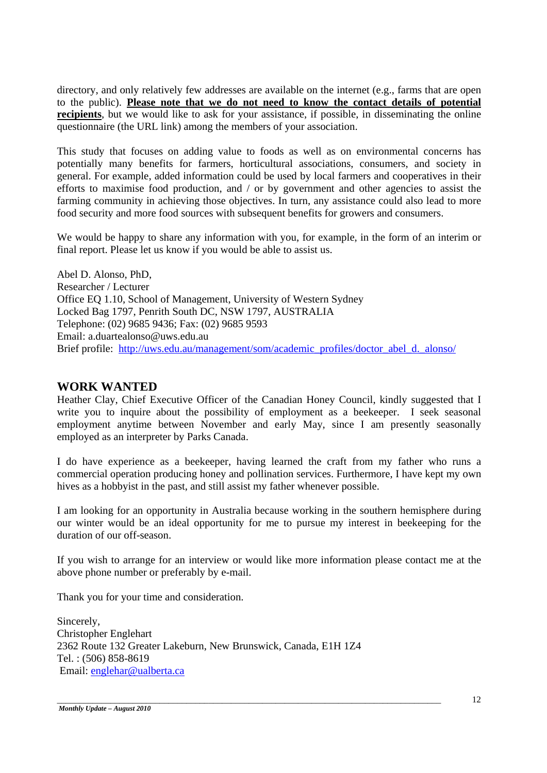directory, and only relatively few addresses are available on the internet (e.g., farms that are open to the public). **Please note that we do not need to know the contact details of potential recipients**, but we would like to ask for your assistance, if possible, in disseminating the online questionnaire (the URL link) among the members of your association.

This study that focuses on adding value to foods as well as on environmental concerns has potentially many benefits for farmers, horticultural associations, consumers, and society in general. For example, added information could be used by local farmers and cooperatives in their efforts to maximise food production, and / or by government and other agencies to assist the farming community in achieving those objectives. In turn, any assistance could also lead to more food security and more food sources with subsequent benefits for growers and consumers.

We would be happy to share any information with you, for example, in the form of an interim or final report. Please let us know if you would be able to assist us.

Abel D. Alonso, PhD, Researcher / Lecturer Office EQ 1.10, School of Management, University of Western Sydney Locked Bag 1797, Penrith South DC, NSW 1797, AUSTRALIA Telephone: (02) 9685 9436; Fax: (02) 9685 9593 Email: a.duartealonso@uws.edu.au Brief profile: http://uws.edu.au/management/som/academic\_profiles/doctor\_abel\_d.\_alonso/

# **WORK WANTED**

Heather Clay, Chief Executive Officer of the Canadian Honey Council, kindly suggested that I write you to inquire about the possibility of employment as a beekeeper. I seek seasonal employment anytime between November and early May, since I am presently seasonally employed as an interpreter by Parks Canada.

I do have experience as a beekeeper, having learned the craft from my father who runs a commercial operation producing honey and pollination services. Furthermore, I have kept my own hives as a hobbyist in the past, and still assist my father whenever possible.

I am looking for an opportunity in Australia because working in the southern hemisphere during our winter would be an ideal opportunity for me to pursue my interest in beekeeping for the duration of our off-season.

If you wish to arrange for an interview or would like more information please contact me at the above phone number or preferably by e-mail.

\_\_\_\_\_\_\_\_\_\_\_\_\_\_\_\_\_\_\_\_\_\_\_\_\_\_\_\_\_\_\_\_\_\_\_\_\_\_\_\_\_\_\_\_\_\_\_\_\_\_\_\_\_\_\_\_\_\_\_\_\_\_\_\_\_\_\_\_\_\_\_\_\_\_\_\_\_\_\_\_\_\_\_\_\_\_

Thank you for your time and consideration.

Sincerely, Christopher Englehart 2362 Route 132 Greater Lakeburn, New Brunswick, Canada, E1H 1Z4 Tel. : (506) 858-8619 Email: englehar@ualberta.ca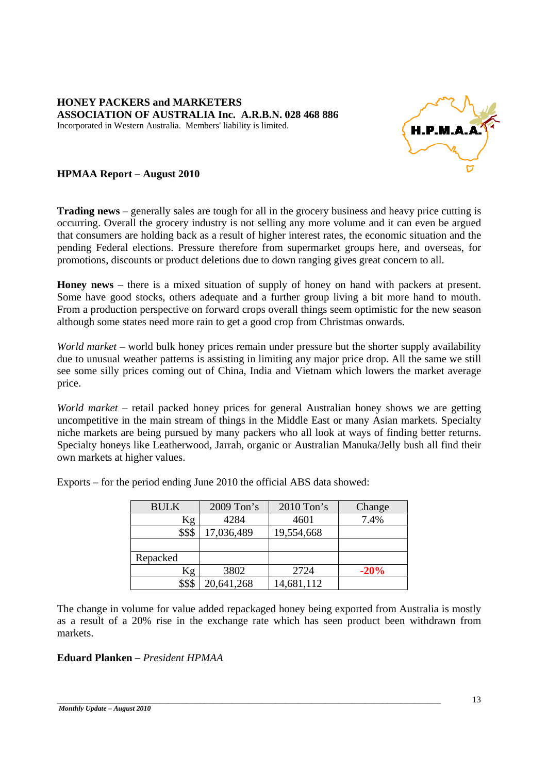

## **HPMAA Report – August 2010**

**Trading news** – generally sales are tough for all in the grocery business and heavy price cutting is occurring. Overall the grocery industry is not selling any more volume and it can even be argued that consumers are holding back as a result of higher interest rates, the economic situation and the pending Federal elections. Pressure therefore from supermarket groups here, and overseas, for promotions, discounts or product deletions due to down ranging gives great concern to all.

**Honey news** – there is a mixed situation of supply of honey on hand with packers at present. Some have good stocks, others adequate and a further group living a bit more hand to mouth. From a production perspective on forward crops overall things seem optimistic for the new season although some states need more rain to get a good crop from Christmas onwards.

*World market* – world bulk honey prices remain under pressure but the shorter supply availability due to unusual weather patterns is assisting in limiting any major price drop. All the same we still see some silly prices coming out of China, India and Vietnam which lowers the market average price.

*World market* – retail packed honey prices for general Australian honey shows we are getting uncompetitive in the main stream of things in the Middle East or many Asian markets. Specialty niche markets are being pursued by many packers who all look at ways of finding better returns. Specialty honeys like Leatherwood, Jarrah, organic or Australian Manuka/Jelly bush all find their own markets at higher values.

| <b>BULK</b> | 2009 Ton's | $2010$ Ton's | Change |
|-------------|------------|--------------|--------|
| Kg          | 4284       | 4601         | 7.4%   |
| \$\$\$      | 17,036,489 | 19,554,668   |        |
|             |            |              |        |
| Repacked    |            |              |        |
| ζg          | 3802       | 2724         | $-20%$ |
|             | 20,641,268 | 14,681,112   |        |

Exports – for the period ending June 2010 the official ABS data showed:

The change in volume for value added repackaged honey being exported from Australia is mostly as a result of a 20% rise in the exchange rate which has seen product been withdrawn from markets.

\_\_\_\_\_\_\_\_\_\_\_\_\_\_\_\_\_\_\_\_\_\_\_\_\_\_\_\_\_\_\_\_\_\_\_\_\_\_\_\_\_\_\_\_\_\_\_\_\_\_\_\_\_\_\_\_\_\_\_\_\_\_\_\_\_\_\_\_\_\_\_\_\_\_\_\_\_\_\_\_\_\_\_\_\_\_

### **Eduard Planken –** *President HPMAA*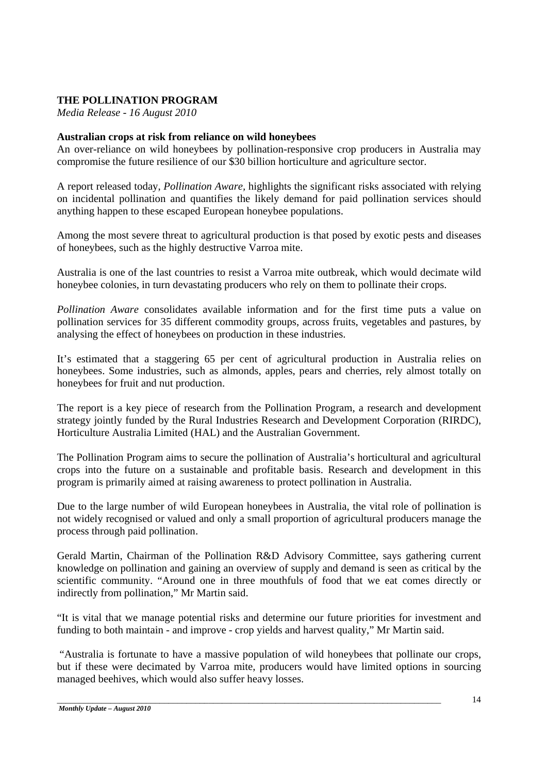## **THE POLLINATION PROGRAM**

*Media Release - 16 August 2010* 

#### **Australian crops at risk from reliance on wild honeybees**

An over-reliance on wild honeybees by pollination-responsive crop producers in Australia may compromise the future resilience of our \$30 billion horticulture and agriculture sector.

A report released today, *Pollination Aware,* highlights the significant risks associated with relying on incidental pollination and quantifies the likely demand for paid pollination services should anything happen to these escaped European honeybee populations.

Among the most severe threat to agricultural production is that posed by exotic pests and diseases of honeybees, such as the highly destructive Varroa mite.

Australia is one of the last countries to resist a Varroa mite outbreak, which would decimate wild honeybee colonies, in turn devastating producers who rely on them to pollinate their crops.

*Pollination Aware* consolidates available information and for the first time puts a value on pollination services for 35 different commodity groups, across fruits, vegetables and pastures, by analysing the effect of honeybees on production in these industries.

It's estimated that a staggering 65 per cent of agricultural production in Australia relies on honeybees. Some industries, such as almonds, apples, pears and cherries, rely almost totally on honeybees for fruit and nut production.

The report is a key piece of research from the Pollination Program, a research and development strategy jointly funded by the Rural Industries Research and Development Corporation (RIRDC), Horticulture Australia Limited (HAL) and the Australian Government.

The Pollination Program aims to secure the pollination of Australia's horticultural and agricultural crops into the future on a sustainable and profitable basis. Research and development in this program is primarily aimed at raising awareness to protect pollination in Australia.

Due to the large number of wild European honeybees in Australia, the vital role of pollination is not widely recognised or valued and only a small proportion of agricultural producers manage the process through paid pollination.

Gerald Martin, Chairman of the Pollination R&D Advisory Committee, says gathering current knowledge on pollination and gaining an overview of supply and demand is seen as critical by the scientific community. "Around one in three mouthfuls of food that we eat comes directly or indirectly from pollination," Mr Martin said.

"It is vital that we manage potential risks and determine our future priorities for investment and funding to both maintain - and improve - crop yields and harvest quality," Mr Martin said.

 "Australia is fortunate to have a massive population of wild honeybees that pollinate our crops, but if these were decimated by Varroa mite, producers would have limited options in sourcing managed beehives, which would also suffer heavy losses.